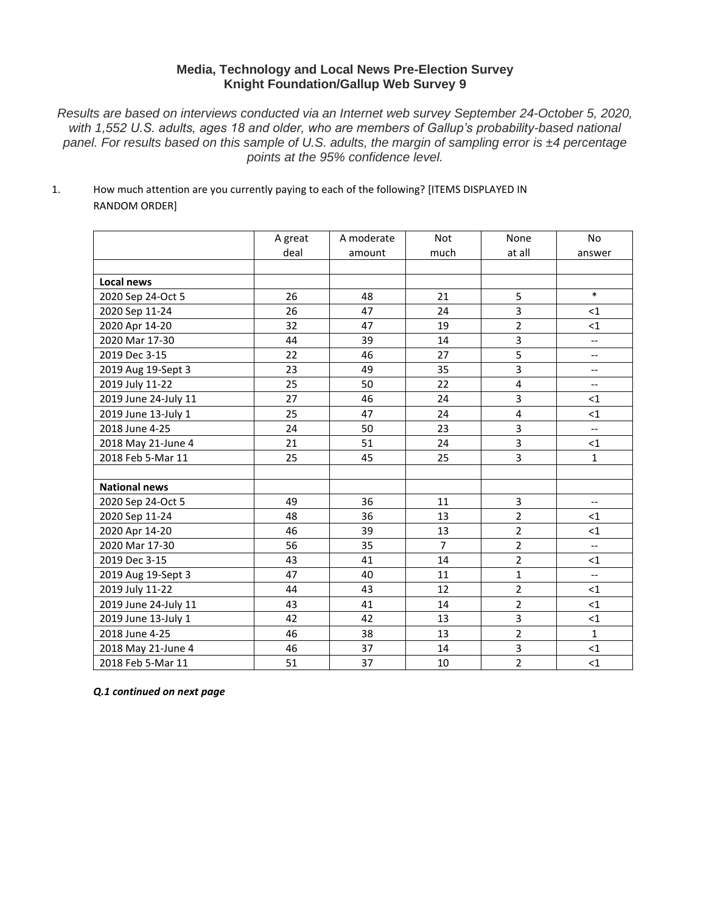# **Media, Technology and Local News Pre-Election Survey Knight Foundation/Gallup Web Survey 9**

*Results are based on interviews conducted via an Internet web survey September 24-October 5, 2020, with 1,552 U.S. adults, ages 18 and older, who are members of Gallup's probability-based national panel. For results based on this sample of U.S. adults, the margin of sampling error is ±4 percentage points at the 95% confidence level.*

1. How much attention are you currently paying to each of the following? [ITEMS DISPLAYED IN RANDOM ORDER]

|                      | A great | A moderate | <b>Not</b>     | None           | <b>No</b>                |
|----------------------|---------|------------|----------------|----------------|--------------------------|
|                      | deal    | amount     | much           | at all         | answer                   |
|                      |         |            |                |                |                          |
| Local news           |         |            |                |                |                          |
| 2020 Sep 24-Oct 5    | 26      | 48         | 21             | 5              | $\ast$                   |
| 2020 Sep 11-24       | 26      | 47         | 24             | 3              | $<$ 1                    |
| 2020 Apr 14-20       | 32      | 47         | 19             | $\overline{2}$ | <1                       |
| 2020 Mar 17-30       | 44      | 39         | 14             | 3              | $\overline{\phantom{a}}$ |
| 2019 Dec 3-15        | 22      | 46         | 27             | 5              | $\overline{\phantom{a}}$ |
| 2019 Aug 19-Sept 3   | 23      | 49         | 35             | 3              | $\overline{\phantom{a}}$ |
| 2019 July 11-22      | 25      | 50         | 22             | 4              | $\overline{\phantom{a}}$ |
| 2019 June 24-July 11 | 27      | 46         | 24             | 3              | $\leq$ 1                 |
| 2019 June 13-July 1  | 25      | 47         | 24             | 4              | $<$ 1                    |
| 2018 June 4-25       | 24      | 50         | 23             | 3              | $-$                      |
| 2018 May 21-June 4   | 21      | 51         | 24             | 3              | <1                       |
| 2018 Feb 5-Mar 11    | 25      | 45         | 25             | 3              | 1                        |
|                      |         |            |                |                |                          |
| <b>National news</b> |         |            |                |                |                          |
| 2020 Sep 24-Oct 5    | 49      | 36         | 11             | 3              | $\overline{\phantom{a}}$ |
| 2020 Sep 11-24       | 48      | 36         | 13             | $\overline{2}$ | $\leq$ 1                 |
| 2020 Apr 14-20       | 46      | 39         | 13             | $\overline{2}$ | $<$ 1                    |
| 2020 Mar 17-30       | 56      | 35         | $\overline{7}$ | $\overline{2}$ | $\overline{a}$           |
| 2019 Dec 3-15        | 43      | 41         | 14             | $\overline{2}$ | $<$ 1                    |
| 2019 Aug 19-Sept 3   | 47      | 40         | 11             | $\mathbf{1}$   | $\overline{a}$           |
| 2019 July 11-22      | 44      | 43         | 12             | $\overline{2}$ | <1                       |
| 2019 June 24-July 11 | 43      | 41         | 14             | $\overline{2}$ | <1                       |
| 2019 June 13-July 1  | 42      | 42         | 13             | 3              | <1                       |
| 2018 June 4-25       | 46      | 38         | 13             | $\overline{2}$ | $\mathbf{1}$             |
| 2018 May 21-June 4   | 46      | 37         | 14             | 3              | <1                       |
| 2018 Feb 5-Mar 11    | 51      | 37         | 10             | $\overline{2}$ | <1                       |

*Q.1 continued on next page*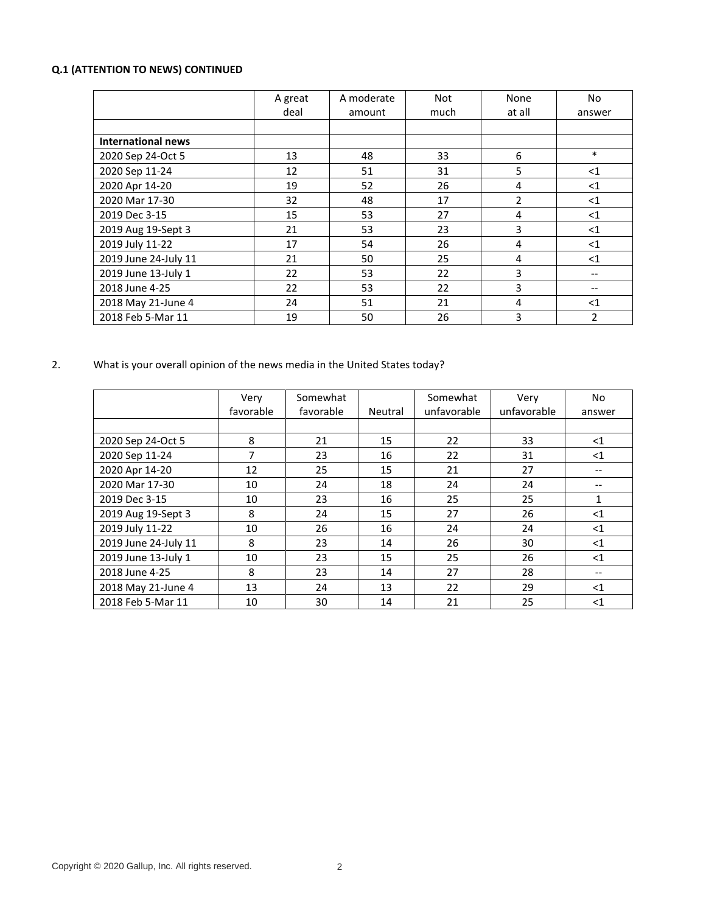# **Q.1 (ATTENTION TO NEWS) CONTINUED**

|                           | A great | A moderate | Not  | None           | No             |
|---------------------------|---------|------------|------|----------------|----------------|
|                           | deal    | amount     | much | at all         | answer         |
|                           |         |            |      |                |                |
| <b>International news</b> |         |            |      |                |                |
| 2020 Sep 24-Oct 5         | 13      | 48         | 33   | 6              | $\ast$         |
| 2020 Sep 11-24            | 12      | 51         | 31   | 5              | $<$ 1          |
| 2020 Apr 14-20            | 19      | 52         | 26   | 4              | $<$ 1          |
| 2020 Mar 17-30            | 32      | 48         | 17   | $\overline{2}$ | $<$ 1          |
| 2019 Dec 3-15             | 15      | 53         | 27   | 4              | <1             |
| 2019 Aug 19-Sept 3        | 21      | 53         | 23   | 3              | $<$ 1          |
| 2019 July 11-22           | 17      | 54         | 26   | 4              | $<$ 1          |
| 2019 June 24-July 11      | 21      | 50         | 25   | 4              | $<$ 1          |
| 2019 June 13-July 1       | 22      | 53         | 22   | 3              |                |
| 2018 June 4-25            | 22      | 53         | 22   | 3              | --             |
| 2018 May 21-June 4        | 24      | 51         | 21   | 4              | $<$ 1          |
| 2018 Feb 5-Mar 11         | 19      | 50         | 26   | 3              | $\overline{2}$ |

2. What is your overall opinion of the news media in the United States today?

|                      | Very      | Somewhat  |         | Somewhat    | Very        | No.          |
|----------------------|-----------|-----------|---------|-------------|-------------|--------------|
|                      | favorable | favorable | Neutral | unfavorable | unfavorable | answer       |
|                      |           |           |         |             |             |              |
| 2020 Sep 24-Oct 5    | 8         | 21        | 15      | 22          | 33          | $<$ 1        |
| 2020 Sep 11-24       | 7         | 23        | 16      | 22          | 31          | $<$ 1        |
| 2020 Apr 14-20       | 12        | 25        | 15      | 21          | 27          |              |
| 2020 Mar 17-30       | 10        | 24        | 18      | 24          | 24          |              |
| 2019 Dec 3-15        | 10        | 23        | 16      | 25          | 25          | $\mathbf{1}$ |
| 2019 Aug 19-Sept 3   | 8         | 24        | 15      | 27          | 26          | $<$ 1        |
| 2019 July 11-22      | 10        | 26        | 16      | 24          | 24          | $\leq$ 1     |
| 2019 June 24-July 11 | 8         | 23        | 14      | 26          | 30          | $<$ 1        |
| 2019 June 13-July 1  | 10        | 23        | 15      | 25          | 26          | $<$ 1        |
| 2018 June 4-25       | 8         | 23        | 14      | 27          | 28          |              |
| 2018 May 21-June 4   | 13        | 24        | 13      | 22          | 29          | $<$ 1        |
| 2018 Feb 5-Mar 11    | 10        | 30        | 14      | 21          | 25          | $<$ 1        |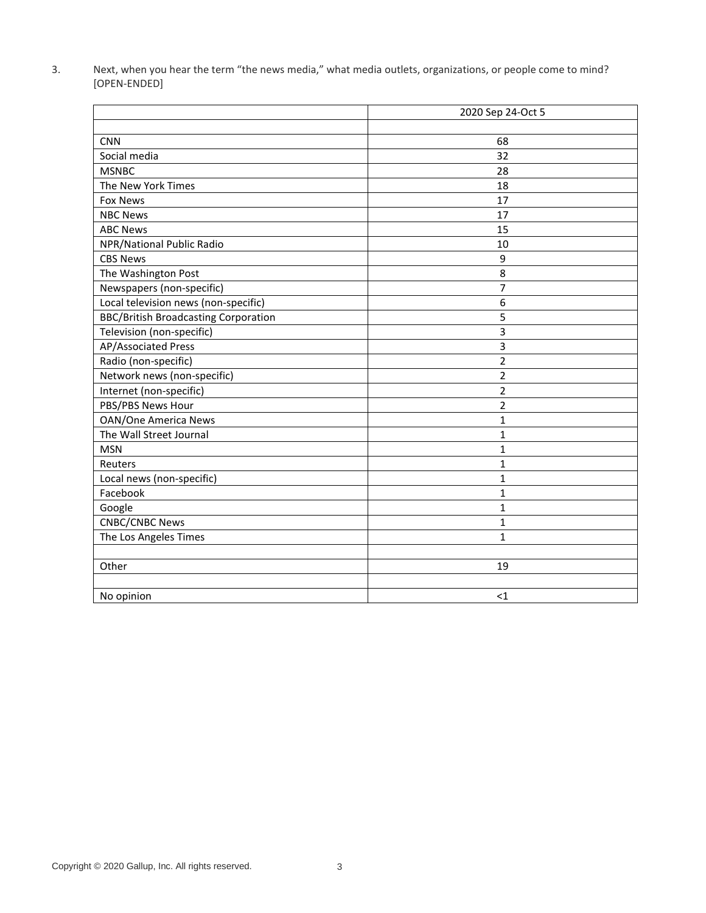3. Next, when you hear the term "the news media," what media outlets, organizations, or people come to mind? [OPEN-ENDED]

|                                             | 2020 Sep 24-Oct 5       |
|---------------------------------------------|-------------------------|
|                                             |                         |
| <b>CNN</b>                                  | 68                      |
| Social media                                | 32                      |
| <b>MSNBC</b>                                | 28                      |
| The New York Times                          | 18                      |
| <b>Fox News</b>                             | 17                      |
| <b>NBC News</b>                             | 17                      |
| <b>ABC News</b>                             | 15                      |
| NPR/National Public Radio                   | 10                      |
| <b>CBS News</b>                             | 9                       |
| The Washington Post                         | 8                       |
| Newspapers (non-specific)                   | 7                       |
| Local television news (non-specific)        | 6                       |
| <b>BBC/British Broadcasting Corporation</b> | 5                       |
| Television (non-specific)                   | $\overline{3}$          |
| AP/Associated Press                         | 3                       |
| Radio (non-specific)                        | $\overline{\mathbf{c}}$ |
| Network news (non-specific)                 | $\overline{2}$          |
| Internet (non-specific)                     | $\overline{2}$          |
| PBS/PBS News Hour                           | $\overline{2}$          |
| <b>OAN/One America News</b>                 | 1                       |
| The Wall Street Journal                     | $\mathbf{1}$            |
| <b>MSN</b>                                  | $\mathbf{1}$            |
| Reuters                                     | 1                       |
| Local news (non-specific)                   | 1                       |
| Facebook                                    | $\mathbf 1$             |
| Google                                      | $\mathbf{1}$            |
| <b>CNBC/CNBC News</b>                       | 1                       |
| The Los Angeles Times                       | $\mathbf{1}$            |
|                                             |                         |
| Other                                       | 19                      |
|                                             |                         |
| No opinion                                  | $<$ 1                   |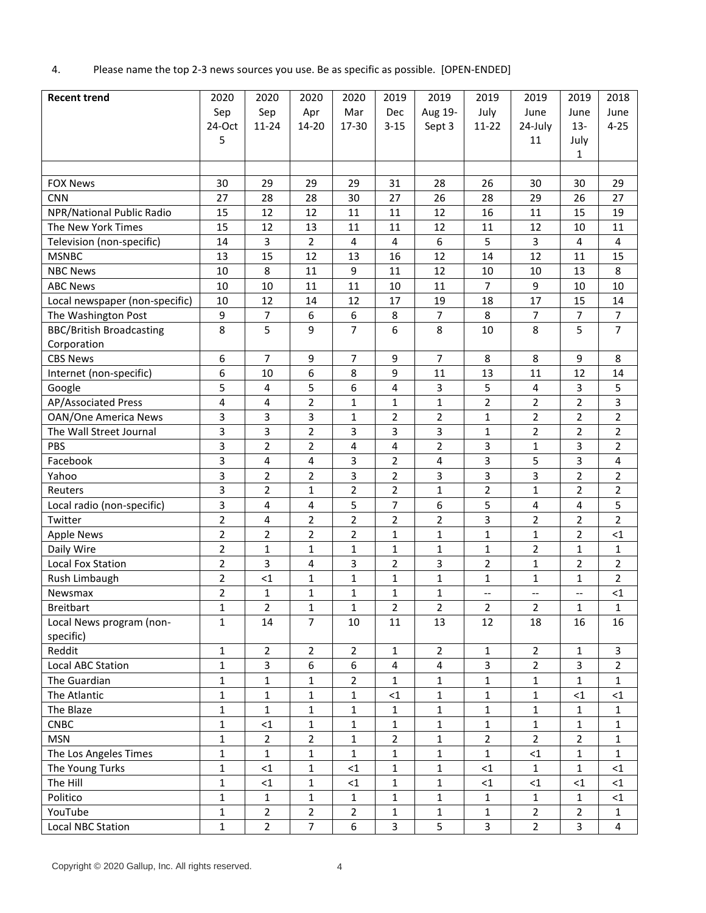4. Please name the top 2-3 news sources you use. Be as specific as possible. [OPEN-ENDED]

| <b>Recent trend</b>             | 2020           | 2020                    | 2020           | 2020                    | 2019           | 2019                    | 2019                     | 2019                     | 2019                     | 2018           |
|---------------------------------|----------------|-------------------------|----------------|-------------------------|----------------|-------------------------|--------------------------|--------------------------|--------------------------|----------------|
|                                 | Sep            | Sep                     | Apr            | Mar                     | <b>Dec</b>     | Aug 19-                 | July                     | June                     | June                     | June           |
|                                 | 24-Oct         | $11 - 24$               | 14-20          | 17-30                   | $3 - 15$       | Sept 3                  | $11 - 22$                | 24-July                  | $13 -$                   | $4 - 25$       |
|                                 | 5              |                         |                |                         |                |                         |                          | 11                       | July                     |                |
|                                 |                |                         |                |                         |                |                         |                          |                          | $\mathbf{1}$             |                |
|                                 |                |                         |                |                         |                |                         |                          |                          |                          |                |
| <b>FOX News</b>                 | 30             | 29                      | 29             | 29                      | 31             | 28                      | 26                       | 30                       | 30                       | 29             |
| <b>CNN</b>                      | 27             | 28                      | 28             | 30                      | 27             | 26                      | 28                       | 29                       | 26                       | 27             |
| NPR/National Public Radio       | 15             | 12                      | 12             | 11                      | 11             | 12                      | 16                       | 11                       | 15                       | 19             |
| The New York Times              | 15             | 12                      | 13             | 11                      | 11             | 12                      | 11                       | 12                       | 10                       | 11             |
| Television (non-specific)       | 14             | 3                       | $\overline{2}$ | $\overline{\mathbf{4}}$ | 4              | 6                       | 5                        | 3                        | $\overline{4}$           | 4              |
| <b>MSNBC</b>                    | 13             | 15                      | 12             | 13                      | 16             | 12                      | 14                       | 12                       | 11                       | 15             |
| <b>NBC News</b>                 | 10             | 8                       | 11             | 9                       | 11             | 12                      | 10                       | 10                       | 13                       | 8              |
| <b>ABC News</b>                 | 10             | 10                      | 11             | 11                      | 10             | 11                      | $\overline{7}$           | 9                        | 10                       | 10             |
| Local newspaper (non-specific)  | 10             | 12                      | 14             | 12                      | 17             | 19                      | 18                       | 17                       | 15                       | 14             |
| The Washington Post             | 9              | $\overline{7}$          | 6              | 6                       | 8              | 7                       | 8                        | $\overline{7}$           | $\overline{7}$           | $\overline{7}$ |
| <b>BBC/British Broadcasting</b> | 8              | 5                       | 9              | $\overline{7}$          | 6              | 8                       | 10                       | 8                        | 5                        | $\overline{7}$ |
| Corporation                     |                |                         |                |                         |                |                         |                          |                          |                          |                |
| <b>CBS News</b>                 | 6              | $\overline{7}$          | 9              | $\overline{7}$          | 9              | 7                       | 8                        | 8                        | 9                        | 8              |
| Internet (non-specific)         | 6              | 10                      | 6              | 8                       | 9              | 11                      | 13                       | 11                       | 12                       | 14             |
| Google                          | 5              | $\overline{\mathbf{4}}$ | 5              | 6                       | 4              | 3                       | 5                        | 4                        | 3                        | 5              |
| AP/Associated Press             | 4              | 4                       | $\overline{2}$ | $\mathbf 1$             | $\mathbf{1}$   | $\mathbf{1}$            | $\overline{2}$           | $\overline{2}$           | $\overline{2}$           | 3              |
| <b>OAN/One America News</b>     | 3              | 3                       | 3              | 1                       | $\overline{2}$ | 2                       | $\mathbf{1}$             | 2                        | $\overline{2}$           | $\overline{2}$ |
| The Wall Street Journal         | 3              | 3                       | $\overline{2}$ | 3                       | 3              | 3                       | $\mathbf{1}$             | $\overline{2}$           | $\overline{2}$           | $\overline{2}$ |
| PBS                             | 3              | $\overline{2}$          | $\overline{2}$ | 4                       | 4              | $\overline{2}$          | 3                        | 1                        | 3                        | 2              |
| Facebook                        | 3              | 4                       | 4              | 3                       | $\overline{2}$ | 4                       | 3                        | 5                        | 3                        | 4              |
| Yahoo                           | 3              | $\overline{2}$          | $\overline{2}$ | 3                       | $\overline{2}$ | 3                       | 3                        | 3                        | $\overline{2}$           | $\overline{2}$ |
| Reuters                         | 3              | $\overline{2}$          | 1              | $\overline{2}$          | $\overline{2}$ | 1                       | 2                        | 1                        | $\overline{2}$           | $\overline{2}$ |
| Local radio (non-specific)      | 3              | 4                       | 4              | 5                       | $\overline{7}$ | 6                       | 5                        | 4                        | 4                        | 5              |
| Twitter                         | $\overline{2}$ | 4                       | 2              | $\overline{2}$          | $\overline{2}$ | 2                       | 3                        | 2                        | 2                        | $\overline{2}$ |
| <b>Apple News</b>               | $\overline{2}$ | $\overline{2}$          | $\overline{2}$ | $\overline{2}$          | $\mathbf{1}$   | 1                       | $\mathbf{1}$             | $\mathbf 1$              | $\overline{2}$           | $\leq$ 1       |
| Daily Wire                      | $\overline{2}$ | $\mathbf{1}$            | $\mathbf{1}$   | $\mathbf 1$             | $\mathbf{1}$   | $\mathbf{1}$            | $\mathbf{1}$             | 2                        | $\mathbf{1}$             | 1              |
| Local Fox Station               | $\overline{2}$ | 3                       | 4              | 3                       | $\overline{2}$ | 3                       | 2                        | 1                        | $\overline{2}$           | 2              |
| Rush Limbaugh                   | $\overline{2}$ | $<$ 1                   | 1              | 1                       | $\mathbf{1}$   | 1                       | 1                        | 1                        | 1                        | 2              |
| Newsmax                         | $\overline{2}$ | $\mathbf{1}$            | $\mathbf{1}$   | 1                       | $\mathbf{1}$   | 1                       | $\overline{\phantom{a}}$ | $\overline{\phantom{a}}$ | $\overline{\phantom{a}}$ | $<$ 1          |
| <b>Breitbart</b>                | 1              | $\overline{2}$          | 1              | 1                       | $\overline{2}$ | 2                       | $\overline{2}$           | $\overline{2}$           | 1                        | 1              |
| Local News program (non-        | $\mathbf{1}$   | 14                      | $\overline{7}$ | 10                      | 11             | 13                      | 12                       | 18                       | 16                       | 16             |
| specific)                       |                |                         |                |                         |                |                         |                          |                          |                          |                |
| Reddit                          | $\mathbf{1}$   | $\overline{2}$          | $\overline{2}$ | $\overline{2}$          | $\mathbf{1}$   | $\overline{2}$          | $\mathbf{1}$             | $\overline{2}$           | $\mathbf{1}$             | $\overline{3}$ |
| Local ABC Station               | $\mathbf{1}$   | 3                       | 6              | 6                       | $\pmb{4}$      | $\overline{\mathbf{4}}$ | 3                        | $\overline{2}$           | 3                        | $\overline{2}$ |
| The Guardian                    | $\mathbf{1}$   | $\mathbf{1}$            | $\mathbf{1}$   | $\overline{2}$          | $\mathbf{1}$   | 1                       | $\mathbf{1}$             | $\mathbf 1$              | $\mathbf{1}$             | $\mathbf{1}$   |
| The Atlantic                    | $\mathbf{1}$   | $\mathbf 1$             | $\mathbf 1$    | $\mathbf{1}$            | ${<}1$         | $\mathbf{1}$            | $\mathbf{1}$             | $\mathbf{1}$             | ${<}1$                   | ${<}1$         |
| The Blaze                       | 1              | $\mathbf 1$             | $\mathbf{1}$   | 1                       | $1\,$          | $\mathbf{1}$            | $\mathbf{1}$             | $\mathbf{1}$             | $\mathbf{1}$             | $\mathbf{1}$   |
| CNBC                            | $\mathbf{1}$   | ${<}1$                  | $\mathbf{1}$   | 1                       | $\mathbf{1}$   | $\mathbf{1}$            | $\mathbf{1}$             | $\mathbf{1}$             | $\mathbf{1}$             | 1              |
| <b>MSN</b>                      | $\mathbf{1}$   | $\overline{2}$          | $\overline{2}$ | $\mathbf{1}$            | $\overline{2}$ | $\mathbf{1}$            | $\overline{2}$           | $\overline{2}$           | $\overline{2}$           | $\mathbf 1$    |
| The Los Angeles Times           | $\mathbf{1}$   | $\mathbf{1}$            | $\mathbf 1$    | $\mathbf{1}$            | $\mathbf{1}$   | $\mathbf{1}$            | $\mathbf{1}$             | ${<}1$                   | 1                        | $\mathbf{1}$   |
| The Young Turks                 | $\mathbf{1}$   | ${<}1$                  | $\mathbf{1}$   | ${<}1$                  | $\mathbf{1}$   | $\mathbf{1}$            | ${<}1$                   | $\mathbf{1}$             | $\mathbf{1}$             | ${<}1$         |
| The Hill                        | $\mathbf{1}$   | <1                      | $\mathbf 1$    | ${<}1$                  | $\mathbf{1}$   | $\mathbf 1$             | ${<}1$                   | ${<}1$                   | ${<}1$                   | $<$ 1          |
| Politico                        | $\mathbf{1}$   | $\mathbf{1}$            | $\mathbf{1}$   | $\mathbf{1}$            | $\mathbf{1}$   | $\mathbf{1}$            | $\mathbf{1}$             | $\mathbf{1}$             | $\mathbf{1}$             | <1             |
| YouTube                         | 1              | $\overline{2}$          | $\overline{2}$ | $\overline{2}$          | $1\,$          | $\mathbf{1}$            | $\mathbf{1}$             | $\overline{2}$           | $\mathbf 2$              | $\mathbf{1}$   |
| Local NBC Station               | $\mathbf 1$    | $\mathbf 2$             | $\overline{7}$ | 6                       | $\overline{3}$ | 5                       | $\mathbf{3}$             | $\overline{2}$           | $\overline{\mathbf{3}}$  | $\overline{4}$ |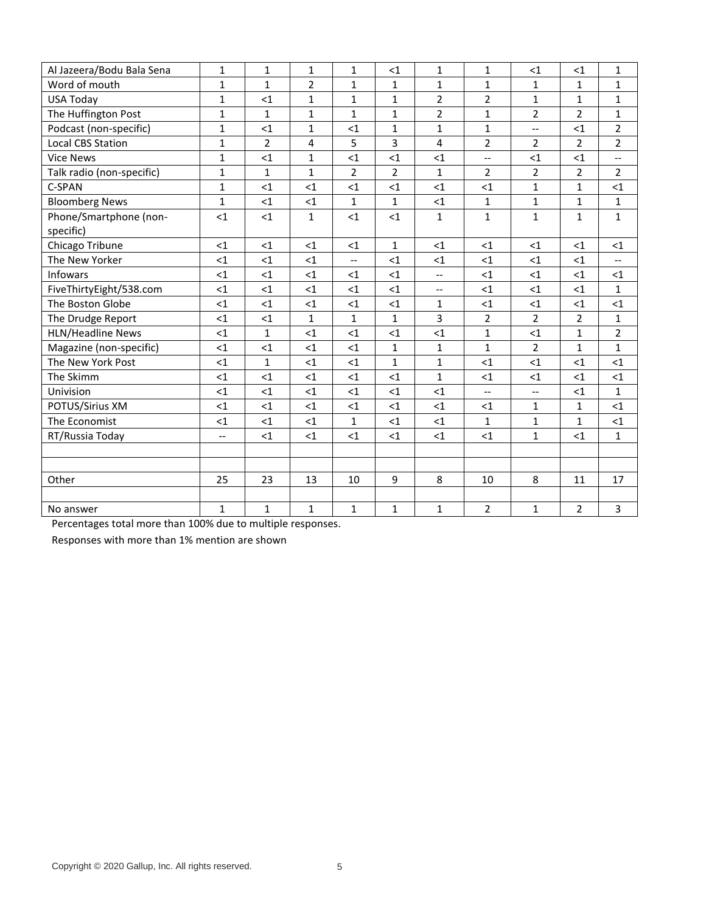| Al Jazeera/Bodu Bala Sena | $\mathbf{1}$             | $\mathbf{1}$   | $\mathbf{1}$ | $\mathbf{1}$             | $<$ 1          | $\mathbf{1}$            | $\mathbf{1}$   | $<$ 1                    | <1             | $\mathbf{1}$             |
|---------------------------|--------------------------|----------------|--------------|--------------------------|----------------|-------------------------|----------------|--------------------------|----------------|--------------------------|
| Word of mouth             | $\mathbf{1}$             | $\mathbf{1}$   | 2            | $\mathbf{1}$             | 1              | 1                       | $\mathbf{1}$   | 1                        | $\mathbf{1}$   | 1                        |
| <b>USA Today</b>          | $\mathbf{1}$             | $<$ 1          | $\mathbf{1}$ | $\mathbf{1}$             | $\mathbf{1}$   | $\overline{2}$          | $\overline{2}$ | $\mathbf{1}$             | $\mathbf{1}$   | $\mathbf{1}$             |
| The Huffington Post       | $\mathbf{1}$             | $\mathbf{1}$   | $\mathbf{1}$ | $\mathbf{1}$             | $\mathbf{1}$   | $\overline{2}$          | $\mathbf{1}$   | $\overline{2}$           | $\overline{2}$ | $\mathbf{1}$             |
| Podcast (non-specific)    | $\mathbf{1}$             | $<$ 1          | $\mathbf{1}$ | $<$ 1                    | $\mathbf{1}$   | $\mathbf{1}$            | $\mathbf{1}$   | $\overline{\phantom{a}}$ | $<$ 1          | $\overline{2}$           |
| <b>Local CBS Station</b>  | $\mathbf{1}$             | $\overline{2}$ | 4            | 5                        | 3              | $\overline{\mathbf{4}}$ | $\overline{2}$ | $\overline{2}$           | $\overline{2}$ | $\overline{2}$           |
| <b>Vice News</b>          | $\mathbf{1}$             | $<$ 1          | $\mathbf{1}$ | $<$ 1                    | $<$ 1          | $<$ 1                   | $-$            | $<$ 1                    | $<$ 1          | $\overline{\phantom{a}}$ |
| Talk radio (non-specific) | $\mathbf 1$              | $\mathbf{1}$   | $\mathbf{1}$ | $\overline{2}$           | $\overline{2}$ | $\mathbf{1}$            | $\overline{2}$ | $\overline{2}$           | $\overline{2}$ | $\overline{2}$           |
| C-SPAN                    | $\mathbf{1}$             | <1             | $<$ 1        | $<$ 1                    | $<$ 1          | $\leq$ 1                | $\leq$ 1       | $\mathbf{1}$             | $\mathbf{1}$   | $<$ 1                    |
| <b>Bloomberg News</b>     | $\mathbf{1}$             | $<$ 1          | $<$ 1        | $\mathbf{1}$             | $\mathbf{1}$   | <1                      | 1              | $\mathbf{1}$             | $\mathbf{1}$   | $\mathbf{1}$             |
| Phone/Smartphone (non-    | <1                       | $\leq 1$       | $\mathbf{1}$ | <1                       | $\leq 1$       | $\mathbf{1}$            | $\mathbf{1}$   | $\mathbf{1}$             | $\mathbf{1}$   | $\mathbf{1}$             |
| specific)                 |                          |                |              |                          |                |                         |                |                          |                |                          |
| Chicago Tribune           | <1                       | <1             | <1           | <1                       | $\mathbf{1}$   | $\leq$ 1                | $\leq$ 1       | $\leq$ 1                 | <1             | <1                       |
| The New Yorker            | $<$ 1                    | $<$ 1          | $<$ 1        | $\overline{\phantom{a}}$ | $<$ 1          | $<$ 1                   | $<$ 1          | $<$ 1                    | $<$ 1          | $\overline{\phantom{a}}$ |
| <b>Infowars</b>           | $\leq$ 1                 | <1             | $<$ 1        | $\leq$ 1                 | $\leq$ 1       | --                      | $<$ 1          | $<$ 1                    | $\leq$ 1       | <1                       |
| FiveThirtyEight/538.com   | $<$ 1                    | $<$ 1          | $<$ 1        | $\leq$ 1                 | $<$ 1          | $-$                     | <1             | $<$ 1                    | $<$ 1          | $\mathbf{1}$             |
| The Boston Globe          | $<$ 1                    | <1             | $<$ 1        | $<$ 1                    | $<$ 1          | 1                       | <1             | $<$ 1                    | $<$ 1          | $<$ 1                    |
| The Drudge Report         | $<$ 1                    | <1             | $\mathbf 1$  | $\mathbf{1}$             | $\mathbf{1}$   | 3                       | $\overline{2}$ | $\overline{2}$           | $\overline{2}$ | $\mathbf{1}$             |
| HLN/Headline News         | $<$ 1                    | $\mathbf{1}$   | $<$ 1        | $\leq$ 1                 | <1             | <1                      | $\mathbf{1}$   | $<$ 1                    | $\mathbf{1}$   | $\overline{2}$           |
| Magazine (non-specific)   | $<$ 1                    | $\leq$ 1       | $\leq$ 1     | $\leq$ 1                 | $\mathbf{1}$   | $\mathbf{1}$            | $\mathbf{1}$   | $\overline{2}$           | $\mathbf{1}$   | $\mathbf{1}$             |
| The New York Post         | $<$ 1                    | $\mathbf{1}$   | $<$ 1        | $\leq$ 1                 | $\mathbf{1}$   | $\mathbf{1}$            | <1             | <1                       | $<$ 1          | $<$ 1                    |
| The Skimm                 | $<$ 1                    | <1             | $<$ 1        | <1                       | $<$ 1          | $\mathbf{1}$            | <1             | <1                       | <1             | <1                       |
| Univision                 | $<$ 1                    | <1             | <1           | <1                       | $<$ 1          | <1                      | $-$            | $\overline{\phantom{a}}$ | $<$ 1          | $\mathbf{1}$             |
| POTUS/Sirius XM           | $<$ 1                    | <1             | <1           | <1                       | $\leq$ 1       | $<$ 1                   | $<$ 1          | $\mathbf{1}$             | $\mathbf{1}$   | <1                       |
| The Economist             | $<$ 1                    | <1             | $<1\,$       | $\mathbf{1}$             | <1             | $<$ 1                   | 1              | $\mathbf{1}$             | $\mathbf{1}$   | <1                       |
| RT/Russia Today           | $\overline{\phantom{a}}$ | <1             | <1           | <1                       | $<$ 1          | <1                      | $<$ 1          | $\mathbf{1}$             | $<$ 1          | $\mathbf{1}$             |
|                           |                          |                |              |                          |                |                         |                |                          |                |                          |
|                           |                          |                |              |                          |                |                         |                |                          |                |                          |
| Other                     | 25                       | 23             | 13           | 10                       | 9              | 8                       | 10             | 8                        | 11             | 17                       |
|                           |                          |                |              |                          |                |                         |                |                          |                |                          |
| No answer                 | $\mathbf{1}$             | $\mathbf{1}$   | $\mathbf{1}$ | $\mathbf{1}$             | $\mathbf{1}$   | $\mathbf{1}$            | $\overline{2}$ | $\mathbf{1}$             | $\overline{2}$ | 3                        |

Percentages total more than 100% due to multiple responses.

Responses with more than 1% mention are shown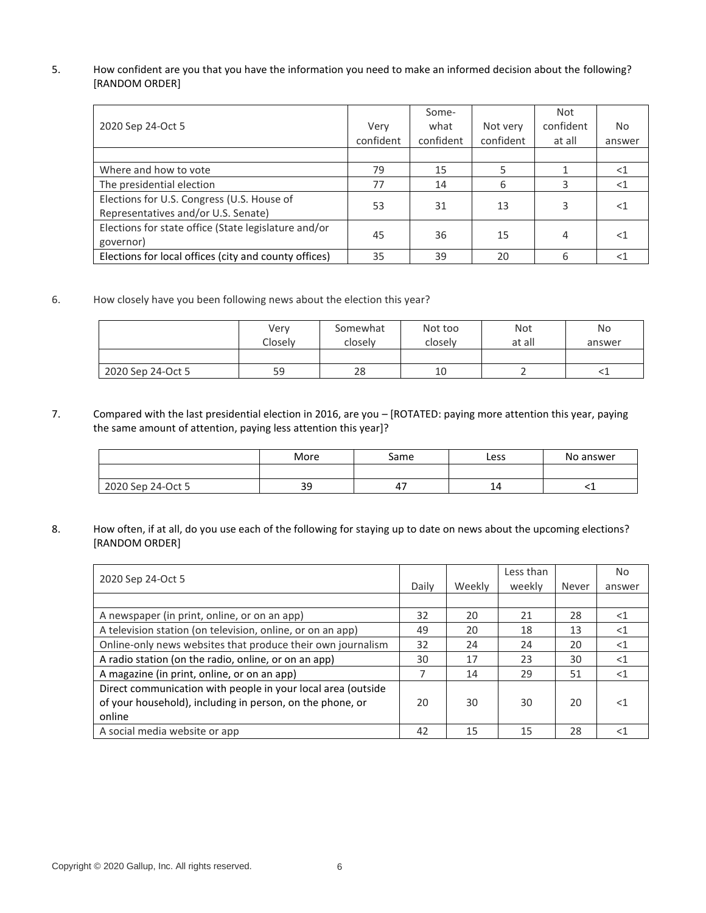# 5. How confident are you that you have the information you need to make an informed decision about the following? [RANDOM ORDER]

|                                                       |           | Some-     |           | Not       |                |
|-------------------------------------------------------|-----------|-----------|-----------|-----------|----------------|
| 2020 Sep 24-Oct 5                                     | Verv      | what      | Not very  | confident | N <sub>o</sub> |
|                                                       | confident | confident | confident | at all    | answer         |
|                                                       |           |           |           |           |                |
| Where and how to vote                                 | 79        | 15        |           |           | - 1            |
| The presidential election                             | 77        | 14        | 6         |           | $<$ 1          |
| Elections for U.S. Congress (U.S. House of            | 53        | 31        | 13        | 3         | $<$ 1          |
| Representatives and/or U.S. Senate)                   |           |           |           |           |                |
| Elections for state office (State legislature and/or  | 45        | 36        | 15        | 4         | $<$ 1          |
| governor)                                             |           |           |           |           |                |
| Elections for local offices (city and county offices) | 35        | 39        | 20        | 6         |                |

6. How closely have you been following news about the election this year?

|                   | Verv<br>Closely | Somewhat<br>closely | Not too<br>closely | Not<br>at all | <b>No</b><br>answer |
|-------------------|-----------------|---------------------|--------------------|---------------|---------------------|
|                   |                 |                     |                    |               |                     |
| 2020 Sep 24-Oct 5 | 59              | 28                  | 10                 |               |                     |

7. Compared with the last presidential election in 2016, are you – [ROTATED: paying more attention this year, paying the same amount of attention, paying less attention this year]?

|                   | More      | same | Less    | No answer |
|-------------------|-----------|------|---------|-----------|
|                   |           |      |         |           |
| 2020 Sep 24-Oct 5 | 20<br>۔ ب | -    | -<br>-- |           |

8. How often, if at all, do you use each of the following for staying up to date on news about the upcoming elections? [RANDOM ORDER]

| 2020 Sep 24-Oct 5                                            |       |        | Less than |       | No.    |
|--------------------------------------------------------------|-------|--------|-----------|-------|--------|
|                                                              | Daily | Weekly | weekly    | Never | answer |
|                                                              |       |        |           |       |        |
| A newspaper (in print, online, or on an app)                 | 32    | 20     | 21        | 28    | $<$ 1  |
| A television station (on television, online, or on an app)   | 49    | 20     | 18        | 13    | $<$ 1  |
| Online-only news websites that produce their own journalism  | 32    | 24     | 24        | 20    | $<$ 1  |
| A radio station (on the radio, online, or on an app)         | 30    | 17     | 23        | 30    | $<$ 1  |
| A magazine (in print, online, or on an app)                  | 7     | 14     | 29        | 51    | $<$ 1  |
| Direct communication with people in your local area (outside |       |        |           |       |        |
| of your household), including in person, on the phone, or    | 20    | 30     | 30        | 20    | $<$ 1  |
| online                                                       |       |        |           |       |        |
| A social media website or app                                | 42    | 15     | 15        | 28    | -1     |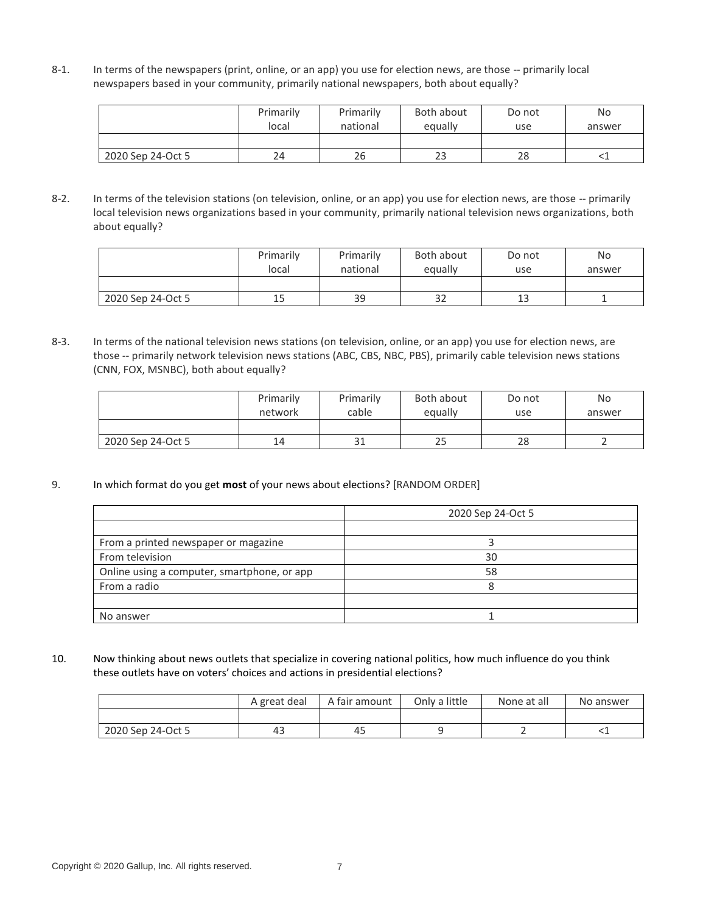8-1. In terms of the newspapers (print, online, or an app) you use for election news, are those -- primarily local newspapers based in your community, primarily national newspapers, both about equally?

|                   | Primarily<br>local | Primarily<br>national | Both about<br>equally | Do not<br>use | <b>No</b><br>answer |
|-------------------|--------------------|-----------------------|-----------------------|---------------|---------------------|
|                   |                    |                       |                       |               |                     |
| 2020 Sep 24-Oct 5 | 24                 | 26                    | 23                    | 28            |                     |

8-2. In terms of the television stations (on television, online, or an app) you use for election news, are those -- primarily local television news organizations based in your community, primarily national television news organizations, both about equally?

|                   | Primarily<br>local | Primarily<br>national | Both about<br>equally | Do not<br>use | <b>No</b><br>answer |
|-------------------|--------------------|-----------------------|-----------------------|---------------|---------------------|
|                   |                    |                       |                       |               |                     |
| 2020 Sep 24-Oct 5 | 15                 | 39                    | 32                    | 13            |                     |

8-3. In terms of the national television news stations (on television, online, or an app) you use for election news, are those -- primarily network television news stations (ABC, CBS, NBC, PBS), primarily cable television news stations (CNN, FOX, MSNBC), both about equally?

|                   | Primarily<br>network | Primarily<br>cable | Both about<br>equally | Do not<br>use | No<br>answer |
|-------------------|----------------------|--------------------|-----------------------|---------------|--------------|
|                   |                      |                    |                       |               |              |
| 2020 Sep 24-Oct 5 | 14                   | 31                 | ر ے                   | 28            |              |

9. In which format do you get **most** of your news about elections? [RANDOM ORDER]

|                                             | 2020 Sep 24-Oct 5 |
|---------------------------------------------|-------------------|
|                                             |                   |
| From a printed newspaper or magazine        |                   |
| From television                             | 30                |
| Online using a computer, smartphone, or app | 58                |
| From a radio                                | 8                 |
|                                             |                   |
| No answer                                   |                   |

10. Now thinking about news outlets that specialize in covering national politics, how much influence do you think these outlets have on voters' choices and actions in presidential elections?

|                   | A great deal | A fair amount |  | Only a little<br>None at all |  |
|-------------------|--------------|---------------|--|------------------------------|--|
|                   |              |               |  |                              |  |
| 2020 Sep 24-Oct 5 | 43           | 45            |  |                              |  |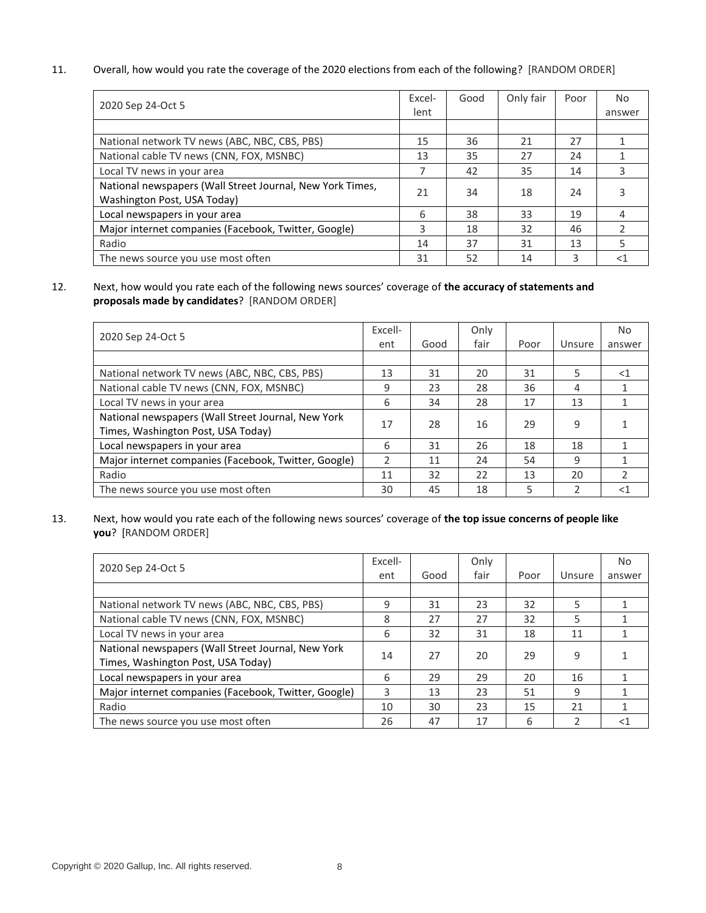11. Overall, how would you rate the coverage of the 2020 elections from each of the following? [RANDOM ORDER]

| 2020 Sep 24-Oct 5                                         | Excel- | Good | Only fair | Poor | N <sub>o</sub> |
|-----------------------------------------------------------|--------|------|-----------|------|----------------|
|                                                           | lent   |      |           |      | answer         |
|                                                           |        |      |           |      |                |
| National network TV news (ABC, NBC, CBS, PBS)             | 15     | 36   | 21        | 27   |                |
| National cable TV news (CNN, FOX, MSNBC)                  | 13     | 35   | 27        | 24   |                |
| Local TV news in your area                                | 7      | 42   | 35        | 14   | 3              |
| National newspapers (Wall Street Journal, New York Times, | 21     | 34   | 18        | 24   |                |
| Washington Post, USA Today)                               |        |      |           |      |                |
| Local newspapers in your area                             | 6      | 38   | 33        | 19   |                |
| Major internet companies (Facebook, Twitter, Google)      | 3      | 18   | 32        | 46   |                |
| Radio                                                     | 14     | 37   | 31        | 13   |                |
| The news source you use most often                        | 31     | 52   | 14        | 3    | $<$ 1          |

12. Next, how would you rate each of the following news sources' coverage of **the accuracy of statements and proposals made by candidates**? [RANDOM ORDER]

|                                                                                          |               |      | Only |      |        | No     |
|------------------------------------------------------------------------------------------|---------------|------|------|------|--------|--------|
| 2020 Sep 24-Oct 5                                                                        | ent           | Good | fair | Poor | Unsure | answer |
|                                                                                          |               |      |      |      |        |        |
| National network TV news (ABC, NBC, CBS, PBS)                                            | 13            | 31   | 20   | 31   | 5      | $<$ 1  |
| National cable TV news (CNN, FOX, MSNBC)                                                 | 9             | 23   | 28   | 36   | 4      |        |
| Local TV news in your area                                                               | 6             | 34   | 28   | 17   | 13     |        |
| National newspapers (Wall Street Journal, New York<br>Times, Washington Post, USA Today) | 17            | 28   | 16   | 29   | 9      |        |
| Local newspapers in your area                                                            | 6             | 31   | 26   | 18   | 18     |        |
| Major internet companies (Facebook, Twitter, Google)                                     | $\mathfrak z$ | 11   | 24   | 54   | 9      |        |
| Radio                                                                                    | 11            | 32   | 22   | 13   | 20     |        |
| The news source you use most often                                                       | 30            | 45   | 18   | 5    |        | $<$ 1  |

13. Next, how would you rate each of the following news sources' coverage of **the top issue concerns of people like you**? [RANDOM ORDER]

| 2020 Sep 24-Oct 5                                    |     |      | Only |      |                                                                                        | No.    |
|------------------------------------------------------|-----|------|------|------|----------------------------------------------------------------------------------------|--------|
|                                                      | ent | Good | fair | Poor | Unsure<br>32<br>5<br>32<br>5<br>18<br>11<br>29<br>9<br>20<br>16<br>51<br>9<br>15<br>21 | answer |
|                                                      |     |      |      |      |                                                                                        |        |
| National network TV news (ABC, NBC, CBS, PBS)        | 9   | 31   | 23   |      |                                                                                        |        |
| National cable TV news (CNN, FOX, MSNBC)             | 8   | 27   | 27   |      |                                                                                        |        |
| Local TV news in your area                           | 6   | 32   | 31   |      |                                                                                        |        |
| National newspapers (Wall Street Journal, New York   | 14  | 27   | 20   |      |                                                                                        |        |
| Times, Washington Post, USA Today)                   |     |      |      |      |                                                                                        |        |
| Local newspapers in your area                        | 6   | 29   | 29   |      |                                                                                        |        |
| Major internet companies (Facebook, Twitter, Google) | 3   | 13   | 23   |      |                                                                                        |        |
| Radio                                                | 10  | 30   | 23   |      |                                                                                        |        |
| The news source you use most often                   | 26  | 47   | 17   | 6    |                                                                                        | $<$ 1  |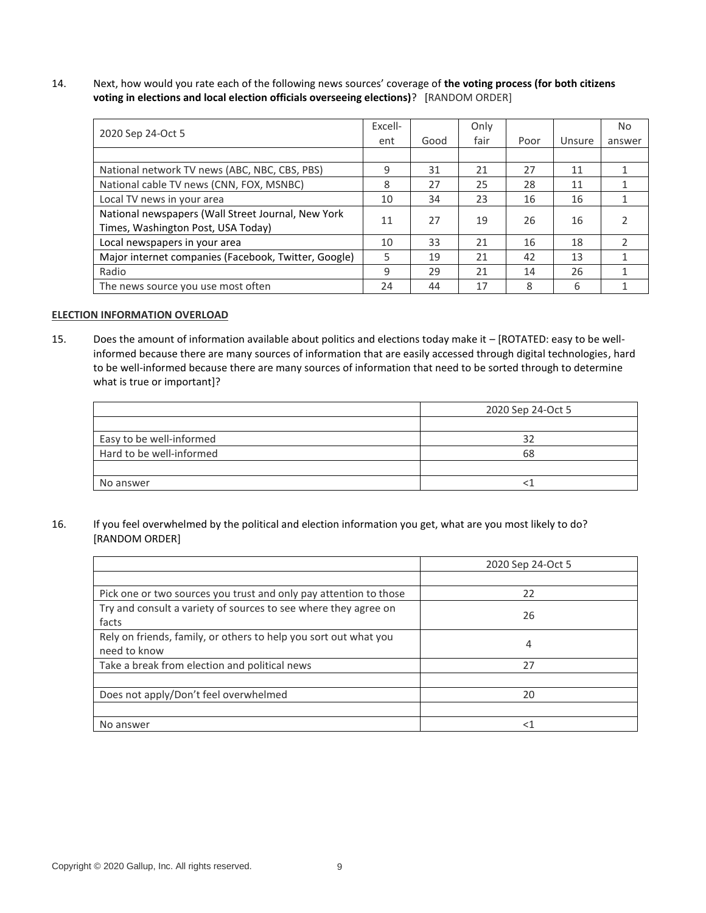14. Next, how would you rate each of the following news sources' coverage of **the voting process (for both citizens voting in elections and local election officials overseeing elections)**? [RANDOM ORDER]

| 2020 Sep 24-Oct 5                                    |     |      | Only |      |        | No.    |
|------------------------------------------------------|-----|------|------|------|--------|--------|
|                                                      | ent | Good | fair | Poor | Unsure | answer |
|                                                      |     |      |      |      |        |        |
| National network TV news (ABC, NBC, CBS, PBS)        | 9   | 31   | 21   | 27   | 11     | 1      |
| National cable TV news (CNN, FOX, MSNBC)             | 8   | 27   | 25   | 28   | 11     |        |
| Local TV news in your area                           | 10  | 34   | 23   | 16   | 16     |        |
| National newspapers (Wall Street Journal, New York   | 11  | 27   | 19   | 26   | 16     | 2      |
| Times, Washington Post, USA Today)                   |     |      |      |      |        |        |
| Local newspapers in your area                        | 10  | 33   | 21   | 16   | 18     |        |
| Major internet companies (Facebook, Twitter, Google) | 5   | 19   | 21   | 42   | 13     |        |
| Radio                                                | 9   | 29   | 21   | 14   | 26     |        |
| The news source you use most often                   | 24  | 44   | 17   | 8    | 6      |        |

#### **ELECTION INFORMATION OVERLOAD**

15. Does the amount of information available about politics and elections today make it – [ROTATED: easy to be wellinformed because there are many sources of information that are easily accessed through digital technologies, hard to be well-informed because there are many sources of information that need to be sorted through to determine what is true or important]?

|                          | 2020 Sep 24-Oct 5 |
|--------------------------|-------------------|
|                          |                   |
| Easy to be well-informed | 32                |
| Hard to be well-informed | 68                |
|                          |                   |
| No answer                |                   |

16. If you feel overwhelmed by the political and election information you get, what are you most likely to do? [RANDOM ORDER]

|                                                                   | 2020 Sep 24-Oct 5 |
|-------------------------------------------------------------------|-------------------|
|                                                                   |                   |
| Pick one or two sources you trust and only pay attention to those | 22                |
| Try and consult a variety of sources to see where they agree on   | 26                |
| facts                                                             |                   |
| Rely on friends, family, or others to help you sort out what you  | 4                 |
| need to know                                                      |                   |
| Take a break from election and political news                     | 27                |
|                                                                   |                   |
| Does not apply/Don't feel overwhelmed                             | 20                |
|                                                                   |                   |
| No answer                                                         | $<$ 1             |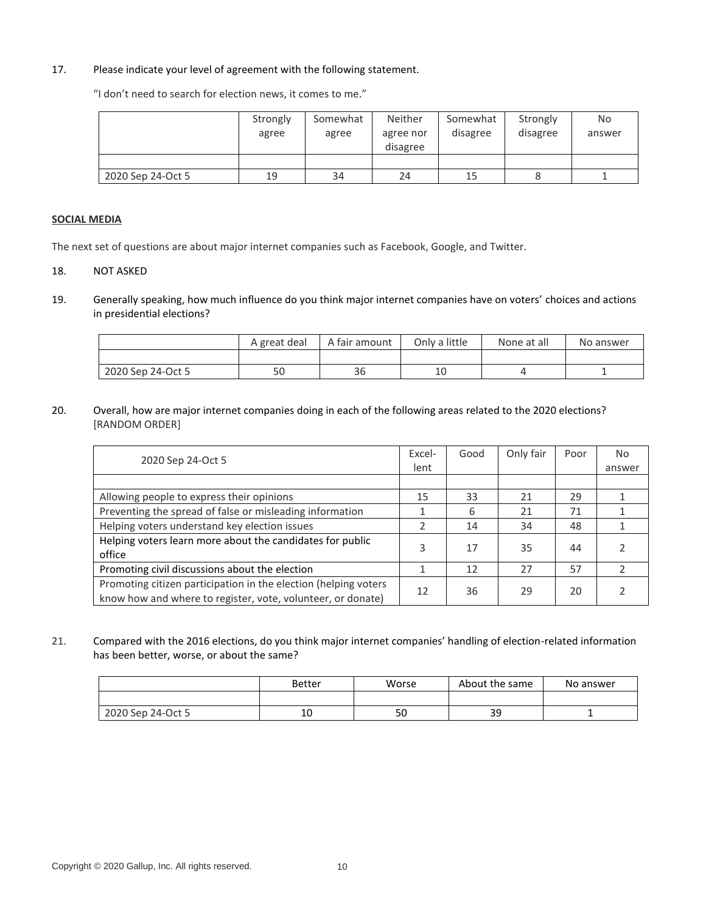### 17. Please indicate your level of agreement with the following statement.

"I don't need to search for election news, it comes to me."

|                   | Strongly<br>agree | Somewhat<br>agree | Neither<br>agree nor<br>disagree | Somewhat<br>disagree | Strongly<br>disagree | No<br>answer |
|-------------------|-------------------|-------------------|----------------------------------|----------------------|----------------------|--------------|
|                   |                   |                   |                                  |                      |                      |              |
| 2020 Sep 24-Oct 5 | 19                | 34                | 24                               | 15                   |                      |              |

#### **SOCIAL MEDIA**

The next set of questions are about major internet companies such as Facebook, Google, and Twitter.

- 18. NOT ASKED
- 19. Generally speaking, how much influence do you think major internet companies have on voters' choices and actions in presidential elections?

|                   | A great deal | A fair amount | Only a little | None at all | No answer |
|-------------------|--------------|---------------|---------------|-------------|-----------|
|                   |              |               |               |             |           |
| 2020 Sep 24-Oct 5 | 50           | 36            | 10            |             |           |

20. Overall, how are major internet companies doing in each of the following areas related to the 2020 elections? [RANDOM ORDER]

| 2020 Sep 24-Oct 5                                                                                                              |               | Good | Only fair | Poor                             | No.    |
|--------------------------------------------------------------------------------------------------------------------------------|---------------|------|-----------|----------------------------------|--------|
|                                                                                                                                | lent          |      |           | 29<br>71<br>48<br>44<br>57<br>20 | answer |
|                                                                                                                                |               |      |           |                                  |        |
| Allowing people to express their opinions                                                                                      | 15            | 33   | 21        |                                  |        |
| Preventing the spread of false or misleading information                                                                       | 1             | 6    | 21        |                                  |        |
| Helping voters understand key election issues                                                                                  | $\mathcal{P}$ | 14   | 34        |                                  |        |
| Helping voters learn more about the candidates for public<br>office                                                            | 3             | 17   | 35        |                                  |        |
| Promoting civil discussions about the election                                                                                 |               | 12   | 27        |                                  |        |
| Promoting citizen participation in the election (helping voters<br>know how and where to register, vote, volunteer, or donate) | 12            | 36   | 29        |                                  |        |

21. Compared with the 2016 elections, do you think major internet companies' handling of election-related information has been better, worse, or about the same?

|                   | <b>Better</b> | Worse | About the same | No answer |
|-------------------|---------------|-------|----------------|-----------|
|                   |               |       |                |           |
| 2020 Sep 24-Oct 5 | 10            | 50    | 39             |           |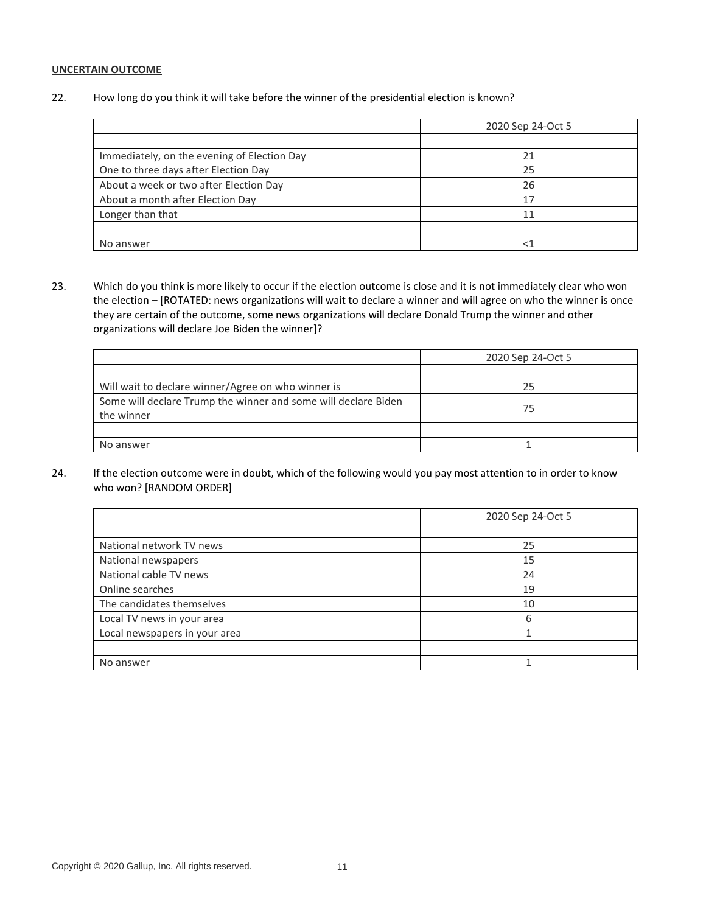### **UNCERTAIN OUTCOME**

22. How long do you think it will take before the winner of the presidential election is known?

|                                             | 2020 Sep 24-Oct 5 |
|---------------------------------------------|-------------------|
|                                             |                   |
| Immediately, on the evening of Election Day |                   |
| One to three days after Election Day        | 25                |
| About a week or two after Election Day      | 26                |
| About a month after Election Day            | 17                |
| Longer than that                            | 11                |
|                                             |                   |
| No answer                                   |                   |

23. Which do you think is more likely to occur if the election outcome is close and it is not immediately clear who won the election – [ROTATED: news organizations will wait to declare a winner and will agree on who the winner is once they are certain of the outcome, some news organizations will declare Donald Trump the winner and other organizations will declare Joe Biden the winner]?

|                                                                | 2020 Sep 24-Oct 5 |
|----------------------------------------------------------------|-------------------|
|                                                                |                   |
| Will wait to declare winner/Agree on who winner is             | 25                |
| Some will declare Trump the winner and some will declare Biden | 75                |
| the winner                                                     |                   |
|                                                                |                   |
| No answer                                                      |                   |

24. If the election outcome were in doubt, which of the following would you pay most attention to in order to know who won? [RANDOM ORDER]

|                               | 2020 Sep 24-Oct 5 |
|-------------------------------|-------------------|
|                               |                   |
| National network TV news      | 25                |
| National newspapers           | 15                |
| National cable TV news        | 24                |
| Online searches               | 19                |
| The candidates themselves     | 10                |
| Local TV news in your area    | 6                 |
| Local newspapers in your area |                   |
|                               |                   |
| No answer                     |                   |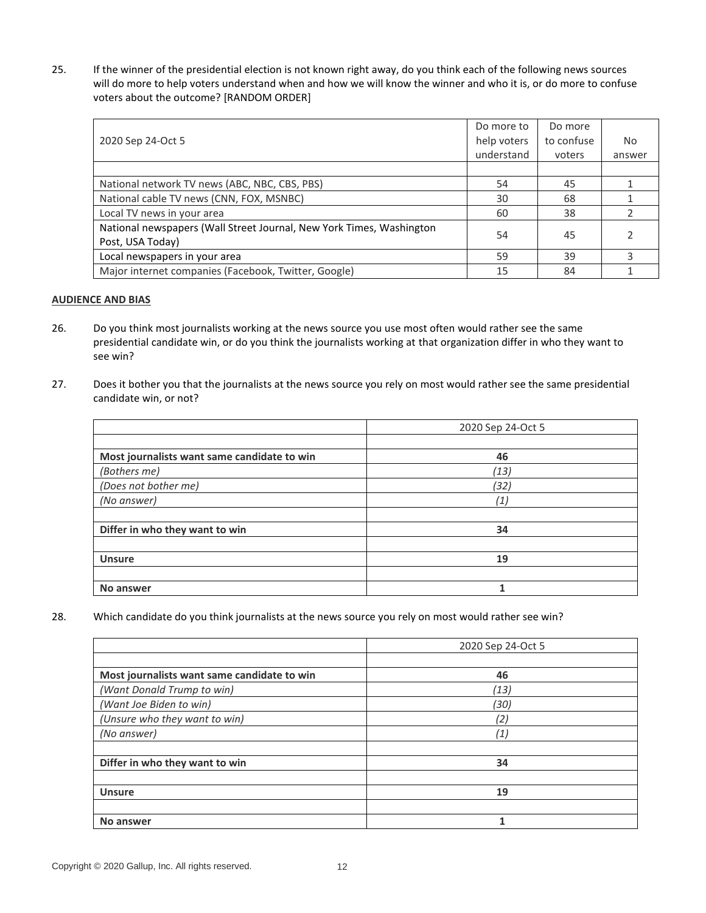25. If the winner of the presidential election is not known right away, do you think each of the following news sources will do more to help voters understand when and how we will know the winner and who it is, or do more to confuse voters about the outcome? [RANDOM ORDER]

|                                                                                          | Do more to  | Do more    |        |
|------------------------------------------------------------------------------------------|-------------|------------|--------|
| 2020 Sep 24-Oct 5                                                                        | help voters | to confuse | No.    |
|                                                                                          | understand  | voters     | answer |
|                                                                                          |             |            |        |
| National network TV news (ABC, NBC, CBS, PBS)                                            | 54          | 45         |        |
| National cable TV news (CNN, FOX, MSNBC)                                                 | 30          | 68         |        |
| Local TV news in your area                                                               | 60          | 38         |        |
| National newspapers (Wall Street Journal, New York Times, Washington<br>Post, USA Today) | 54          | 45         |        |
| Local newspapers in your area                                                            | 59          | 39         |        |
| Major internet companies (Facebook, Twitter, Google)                                     | 15          | 84         |        |

#### **AUDIENCE AND BIAS**

- 26. Do you think most journalists working at the news source you use most often would rather see the same presidential candidate win, or do you think the journalists working at that organization differ in who they want to see win?
- 27. Does it bother you that the journalists at the news source you rely on most would rather see the same presidential candidate win, or not?

|                                             | 2020 Sep 24-Oct 5 |
|---------------------------------------------|-------------------|
|                                             |                   |
| Most journalists want same candidate to win | 46                |
| (Bothers me)                                | (13)              |
| (Does not bother me)                        | (32)              |
| (No answer)                                 | (1)               |
|                                             |                   |
| Differ in who they want to win              | 34                |
|                                             |                   |
| <b>Unsure</b>                               | 19                |
|                                             |                   |
| No answer                                   |                   |

28. Which candidate do you think journalists at the news source you rely on most would rather see win?

|                                             | 2020 Sep 24-Oct 5 |
|---------------------------------------------|-------------------|
|                                             |                   |
| Most journalists want same candidate to win | 46                |
| (Want Donald Trump to win)                  | (13)              |
| (Want Joe Biden to win)                     | (30)              |
| (Unsure who they want to win)               | (2)               |
| (No answer)                                 | (1)               |
|                                             |                   |
| Differ in who they want to win              | 34                |
|                                             |                   |
| <b>Unsure</b>                               | 19                |
|                                             |                   |
| No answer                                   | 1                 |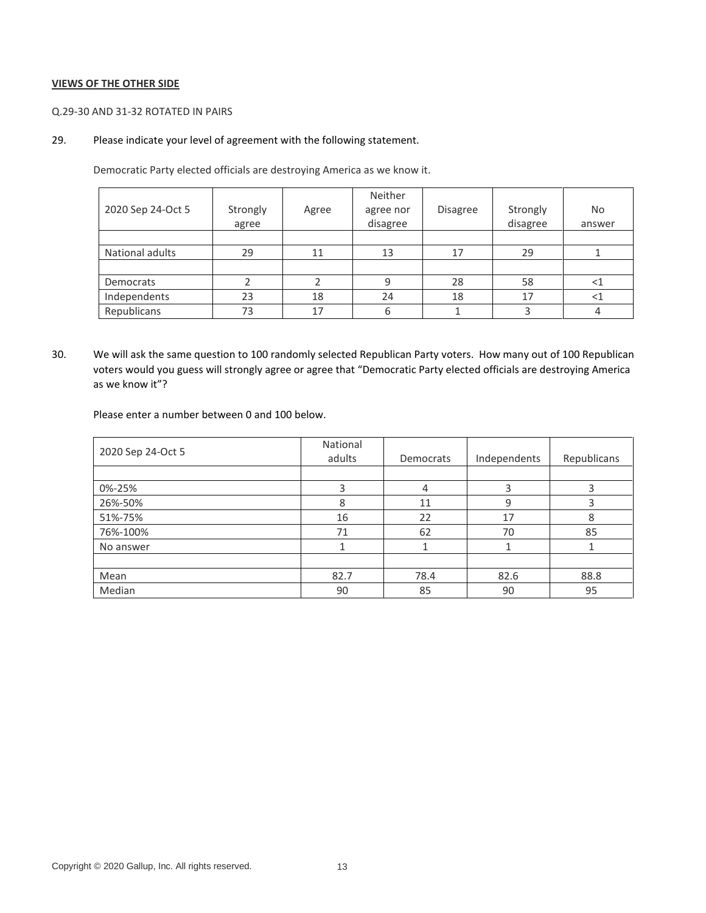#### **VIEWS OF THE OTHER SIDE**

#### Q.29-30 AND 31-32 ROTATED IN PAIRS

## 29. Please indicate your level of agreement with the following statement.

Democratic Party elected officials are destroying America as we know it.

| 2020 Sep 24-Oct 5 | Strongly<br>agree | Agree | Neither<br>agree nor<br>disagree | <b>Disagree</b> | Strongly<br>disagree | No<br>answer |
|-------------------|-------------------|-------|----------------------------------|-----------------|----------------------|--------------|
|                   |                   |       |                                  |                 |                      |              |
| National adults   | 29                | 11    | 13                               | 17              | 29                   |              |
|                   |                   |       |                                  |                 |                      |              |
| Democrats         |                   |       | 9                                | 28              | 58                   | <1           |
| Independents      | 23                | 18    | 24                               | 18              | 17                   |              |
| Republicans       | 73                | 17    | 6                                |                 |                      |              |

30. We will ask the same question to 100 randomly selected Republican Party voters. How many out of 100 Republican voters would you guess will strongly agree or agree that "Democratic Party elected officials are destroying America as we know it"?

Please enter a number between 0 and 100 below.

| 2020 Sep 24-Oct 5 | National<br>adults | Democrats | Independents | Republicans |
|-------------------|--------------------|-----------|--------------|-------------|
|                   |                    |           |              |             |
| 0%-25%            | 3                  | 4         | ς            |             |
| 26%-50%           | 8                  | 11        | 9            |             |
| 51%-75%           | 16                 | 22        | 17           | 8           |
| 76%-100%          | 71                 | 62        | 70           | 85          |
| No answer         |                    |           |              |             |
|                   |                    |           |              |             |
| Mean              | 82.7               | 78.4      | 82.6         | 88.8        |
| Median            | 90                 | 85        | 90           | 95          |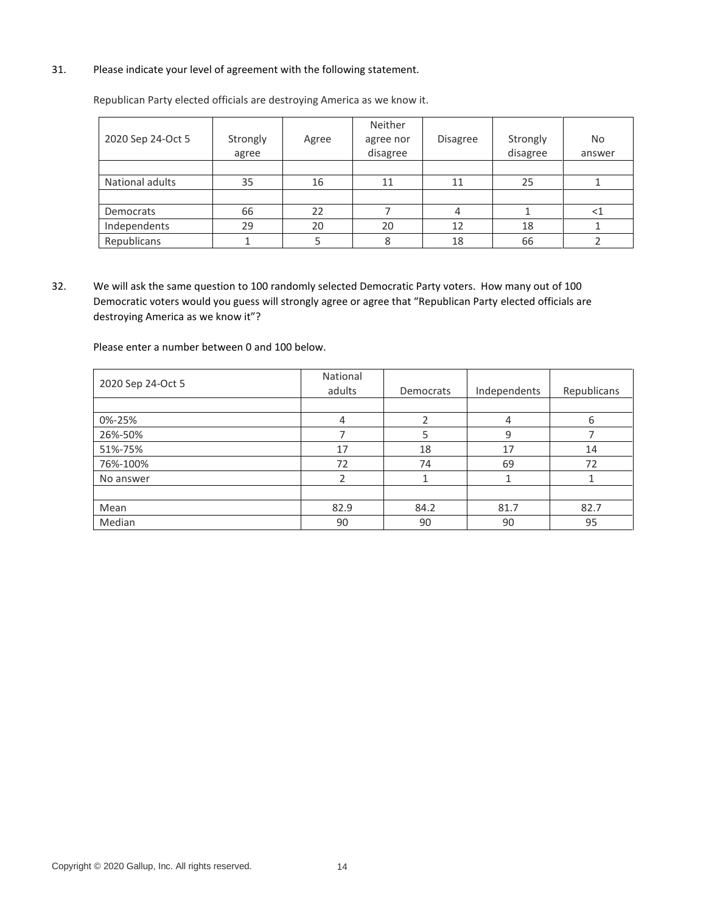## 31. Please indicate your level of agreement with the following statement.

| 2020 Sep 24-Oct 5 | Strongly<br>agree | Agree | Neither<br>agree nor<br>disagree | <b>Disagree</b> | Strongly<br>disagree | No<br>answer |
|-------------------|-------------------|-------|----------------------------------|-----------------|----------------------|--------------|
|                   |                   |       |                                  |                 |                      |              |
| National adults   | 35                | 16    | 11                               | 11              | 25                   |              |
|                   |                   |       |                                  |                 |                      |              |
| Democrats         | 66                | 22    |                                  |                 |                      |              |
| Independents      | 29                | 20    | 20                               | 12              | 18                   |              |
| Republicans       |                   |       | 8                                | 18              | 66                   |              |

Republican Party elected officials are destroying America as we know it.

32. We will ask the same question to 100 randomly selected Democratic Party voters. How many out of 100 Democratic voters would you guess will strongly agree or agree that "Republican Party elected officials are destroying America as we know it"?

Please enter a number between 0 and 100 below.

| 2020 Sep 24-Oct 5 | National<br>adults | Democrats | Independents | Republicans |
|-------------------|--------------------|-----------|--------------|-------------|
|                   |                    |           |              |             |
| 0%-25%            | $\overline{4}$     |           | 4            | 6           |
| 26%-50%           |                    |           | 9            |             |
| 51%-75%           | 17                 | 18        | 17           | 14          |
| 76%-100%          | 72                 | 74        | 69           | 72          |
| No answer         | 2                  |           |              |             |
|                   |                    |           |              |             |
| Mean              | 82.9               | 84.2      | 81.7         | 82.7        |
| Median            | 90                 | 90        | 90           | 95          |